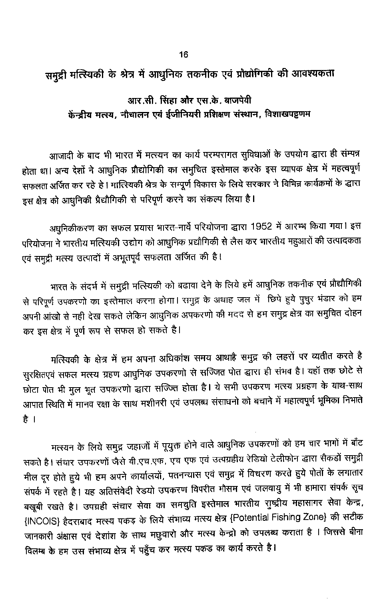## समुद्री मत्स्यिकी के श्रेत्र में आधुनिक तकनीक एवं प्रौद्योगिकी की आवश्यकता

## आर.सी. सिंहा और एस.के. बाजपेयी केंन्द्रीय मत्स्य, नौचालन एवं ईजीनियरी प्रशिक्षण संस्थान, विशाखपट्टणम

आजादी के बाद भी भारत में मत्स्यन का कार्य परम्परागत सुविधाओं के उपयोग द्धारा ही संम्पन्न होता था। अन्य देशों ने आधुनिक प्रौद्योगिकी का समुचित इस्तेमाल करके इस व्यापक क्षेत्र में महत्वपूर्ण सफलता अर्जित कर रहे है। मात्स्यिकी श्रेत्र के सम्पूर्ण विकास के लिये सरकार ने विभिन्न कार्यक्रमों के द्धारा इस क्षेत्र को आधुनिकी प्रैद्यौगिकी से परिपूर्ण करने का संकल्प लिया है।

अधुनिकीकरण का सफल प्रयास भारत-नार्वे परियोजना द्धारा 1952 में आरम्भ किया गया। इस परियोजना ने भारतीय मत्स्यिकी उद्योग को आधुनिक प्रद्यौगिकी से लैस कर भारतीय महुआरों की उत्पादकता एवं समुद्री मत्स्य उत्पादों में अभूतपूर्व सफलता अर्जित की है।

भारत के संदर्भ में समुद्री मत्स्यिकी को बढावा देने के लिये हमें आधुनिक तकनीक एवं प्रौद्यौगिकी से परिपूर्ण उपकरणों का इस्तेमाल करना होगा। समुद्र के अथाह जल में छिपे हुये पुचुर भंडार को हम अपनी आंखो से नही देख सकते लेकिन आधुनिक अपकरणो की मदद से हम समुद्र क्षेत्र का समुचित दोहन कर इस क्षेत्र में पूर्ण रूप से सफल हो सकते है।

मत्स्यिकी के क्षेत्र में हम अपना अधिकांश समय आथाहै समुद्र की लहरों पर व्यतीत करते है सुरक्षितएवं सफल मत्स्य ग्रहण आधुनिक उपकरणो से सज्जित पोत द्धारा ही संभव है। यहाँ तक छोटे से छोटा पोत भी मुल भूत उपकरणो द्धारा सज्ज्ति होता है। ये सभी उपकरण मत्स्य प्रग्रहण के याथ-साथ आपात स्थिति में मानव रक्षा के साथ मशीनरी एवं उपलब्ध संसाधनों को बचाने में महात्वपूर्ण भूमिका निभाते है ।

मत्स्यन के लिये समुद्र जहाजों में पूयुक्त होने वाले आधुनिक उपकरणों को हम चार भागों में बाँट सकते हैं। संचार उपकरणों जैसे वी.एच.एफ. एच एफ एवं उत्पग्रहीय रेडियो टेलीफोन द्धारा सैकडों समुद्री मील दूर होते हुये भी हम अपने कार्यालयों, पतनन्यास एवं समुद्र में विचरण करते हुये पोतों के लगातार संपर्क में रहते है। यह अतिसंवेदी रेडयो उपकरण विपरीत मौसम एवं जलवायु में भी हामारा संपर्क सूच बखूबी रखते है। उपग्रही संचार सेवा का समचुति इस्तेमाल भारतीय राुष्ट्रीय महासागर सेवा केन्द्र, {INCOIS} हैदराबाद मत्स्य पकड़ के लिये संभाव्य मत्स्य क्षेत्र {Potential Fishing Zone} की सटीक जानकारी अंक्षास एवं देशांश के साथ मछुवारो और मत्स्य केन्द्रो को उपलब्ध कराता है । जिससे बीना विलम्ब के हम उस संभाव्य क्षेत्र में पहुँच कर मत्स्य पकड का कार्य करते है।